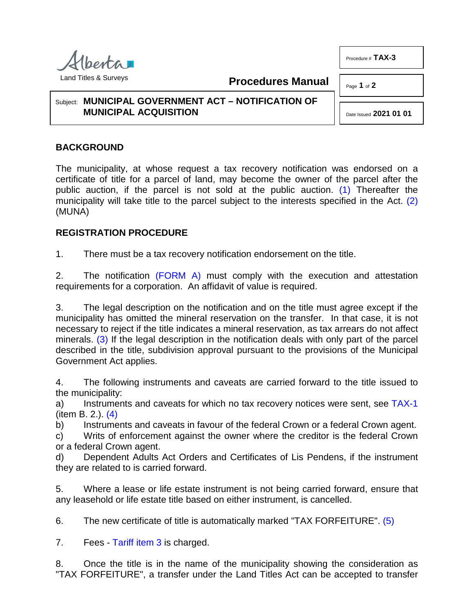

**Procedures Manual**

Page **1** of **2**

Procedure # **TAX-3**

## Subject: **MUNICIPAL GOVERNMENT ACT – NOTIFICATION OF MUNICIPAL ACQUISITION**

<span id="page-0-1"></span><span id="page-0-0"></span>Date Issued **2021 01 01**

## **BACKGROUND**

The municipality, at whose request a tax recovery notification was endorsed on a certificate of title for a parcel of land, may become the owner of the parcel after the public auction, if the parcel is not sold at the public auction. [\(1\)](#page-1-0) Thereafter the municipality will take title to the parcel subject to the interests specified in the Act. [\(2\)](#page-1-1) (MUNA)

## **REGISTRATION PROCEDURE**

1. There must be a tax recovery notification endorsement on the title.

2. The notification [\(FORM A\)](http://www.servicealberta.ca/pdf/ltmanual/TAX-3-FORMA.pdf) must comply with the execution and attestation requirements for a corporation. An affidavit of value is required.

<span id="page-0-2"></span>3. The legal description on the notification and on the title must agree except if the municipality has omitted the mineral reservation on the transfer. In that case, it is not necessary to reject if the title indicates a mineral reservation, as tax arrears do not affect minerals. [\(3\)](#page-1-2) If the legal description in the notification deals with only part of the parcel described in the title, subdivision approval pursuant to the provisions of the Municipal Government Act applies.

4. The following instruments and caveats are carried forward to the title issued to the municipality:

<span id="page-0-3"></span>a) Instruments and caveats for which no tax recovery notices were sent, see [TAX-1](http://www.servicealberta.ca/pdf/ltmanual/TAX-1.pdf) (item B. 2.). [\(4\)](#page-1-3)

b) Instruments and caveats in favour of the federal Crown or a federal Crown agent.

c) Writs of enforcement against the owner where the creditor is the federal Crown or a federal Crown agent.

d) Dependent Adults Act Orders and Certificates of Lis Pendens, if the instrument they are related to is carried forward.

5. Where a lease or life estate instrument is not being carried forward, ensure that any leasehold or life estate title based on either instrument, is cancelled.

<span id="page-0-4"></span>6. The new certificate of title is automatically marked "TAX FORFEITURE". [\(5\)](#page-1-4)

7. Fees - [Tariff item 3](http://www.servicealberta.ca/pdf/ltmanual/APPENDIXI.pdf) is charged.

8. Once the title is in the name of the municipality showing the consideration as "TAX FORFEITURE", a transfer under the Land Titles Act can be accepted to transfer